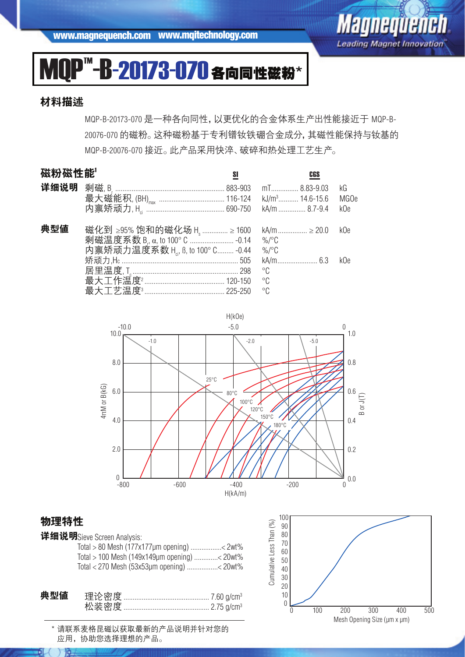www.magnequench.com www.mqitechnology.com



## MOP<sup>™</sup>-B-20173-070各向同性磁粉\*

#### 材料描述

MQP-B-20173-070 是一种各向同性,以更优化的合金体系生产出性能接近于 MQP-B-20076-070 的磁粉。这种磁粉基于专利镨钕铁硼合金成分,其磁性能保持与钕基的 MQP-B-20076-070 接近。此产品采用快淬、破碎和热处理工艺生产。

#### 磁粉磁性能<sup>1</sup> SI CGS

| РАА17Л РАА I <del>II</del> ПО |                                                    |              |      |
|-------------------------------|----------------------------------------------------|--------------|------|
|                               |                                                    |              | kG   |
|                               |                                                    |              | MG0e |
|                               |                                                    |              | kOe  |
| 典型値                           | 磁化到 ≥95% 饱和的磁化场 H ໋  ≥ 1600 kA/m  ≥ 20.0 k0e       |              |      |
|                               |                                                    |              |      |
|                               | 内禀矫顽力温度系数 H <sub>2</sub> , B, to 100° C -0.44 %/°C |              |      |
|                               |                                                    |              | kOe  |
|                               |                                                    | $^{\circ}$ C |      |
|                               |                                                    |              |      |
|                               |                                                    |              |      |



#### 物理特性

川上

| 详细说明Sieve Screen Analysis:                   |  |
|----------------------------------------------|--|
| Total > 80 Mesh (177x177µm opening) < 2wt%   |  |
| Total > 100 Mesh (149x149µm opening) < 20wt% |  |
| Total < 270 Mesh (53x53µm opening) < 20wt%   |  |
|                                              |  |
|                                              |  |

| 典型値 |  |
|-----|--|
|     |  |

\* 请联系麦格昆磁以获取最新的产品说明并针对您的 应用,协助您选择理想的产品。